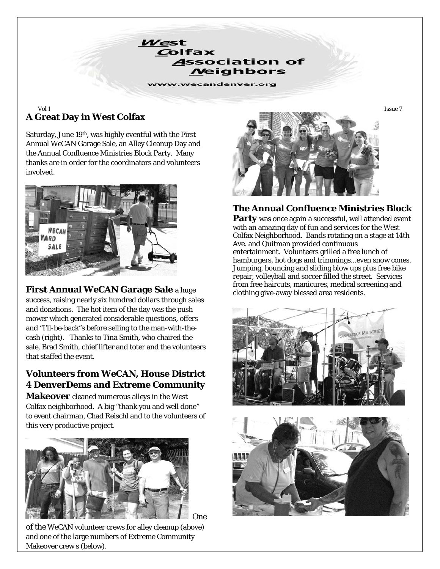

# **A Great Day in West Colfax**

Saturday, June 19th, was highly eventful with the First Annual *WeCAN* Garage Sale, an Alley Cleanup Day and the Annual Confluence Ministries Block Party. Many thanks are in order for the coordinators and volunteers involved.



**First Annual** *WeCAN* **Garage Sale** a huge success, raising nearly six hundred dollars through sales and donations. The hot item of the day was the push mower which generated considerable questions, offers and "I'll-be-back"s before selling to the man-with-thecash (right). Thanks to Tina Smith, who chaired the sale, Brad Smith, chief lifter and toter and the volunteers that staffed the event.

# **Volunteers from** *WeCAN***, House District 4 DenverDems and Extreme Community**

**Makeover** cleaned numerous alleys in the West Colfax neighborhood. A big "thank you and well done" to event chairman, Chad Reischl and to the volunteers of this very productive project.



of the *WeCAN* volunteer crews for alley cleanup (above) and one of the large numbers of Extreme Community Makeover crew s (below).



## **The Annual Confluence Ministries Block**

**Party** was once again a successful, well attended event with an amazing day of fun and services for the West Colfax Neighborhood. Bands rotating on a stage at 14th Ave. and Quitman provided continuous entertainment. Volunteers grilled a free lunch of hamburgers, hot dogs and trimmings...even snow cones. Jumping, bouncing and sliding blow ups plus free bike repair, volleyball and soccer filled the street. Services from free haircuts, manicures, medical screening and clothing give-away blessed area residents.